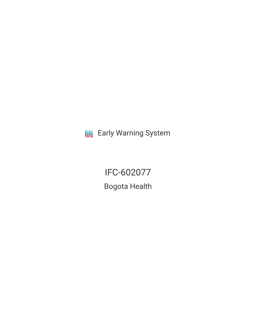**III** Early Warning System

IFC-602077 Bogota Health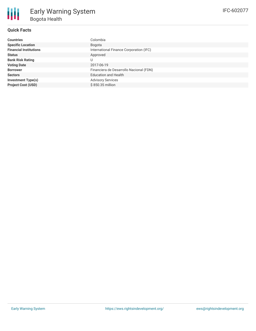## **Quick Facts**

IFC-602077

| Countries                     | Colombia                                |
|-------------------------------|-----------------------------------------|
| <b>Specific Location</b>      | Bogota                                  |
| <b>Financial Institutions</b> | International Finance Corporation (IFC) |
| Status                        | Approved                                |
| <b>Bank Risk Rating</b>       |                                         |
| <b>Voting Date</b>            | 2017-06-19                              |
| <b>Borrower</b>               | Financiera de Desarrollo Nacional (FDN) |
| <b>Sectors</b>                | <b>Education and Health</b>             |
| <b>Investment Type(s)</b>     | <b>Advisory Services</b>                |
| <b>Project Cost (USD)</b>     | \$850.35 million                        |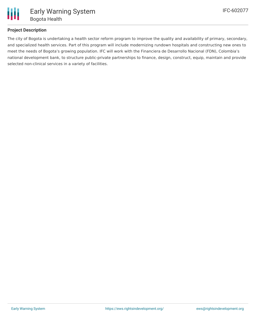

## **Project Description**

The city of Bogota is undertaking a health sector reform program to improve the quality and availability of primary, secondary, and specialized health services. Part of this program will include modernizing rundown hospitals and constructing new ones to meet the needs of Bogota's growing population. IFC will work with the Financiera de Desarrollo Nacional (FDN), Colombia's national development bank, to structure public-private partnerships to finance, design, construct, equip, maintain and provide selected non-clinical services in a variety of facilities.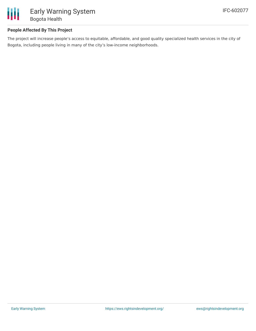

## **People Affected By This Project**

The project will increase people's access to equitable, affordable, and good quality specialized health services in the city of Bogota, including people living in many of the city's low-income neighborhoods.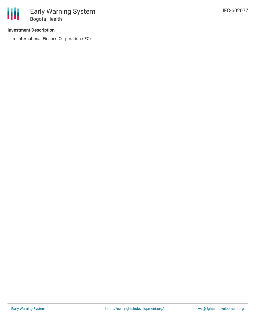#### **Investment Description**

• International Finance Corporation (IFC)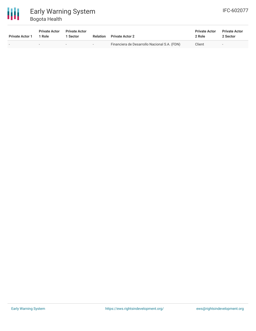

# Early Warning System Bogota Health

| IFC-602077 |
|------------|
|------------|

| <b>Private Actor 1</b> | <b>Private Actor</b><br>1 Role | <b>Private Actor</b><br><b>Sector</b> | Relation                 | <b>Private Actor 2</b>                       | <b>Private Actor</b><br>2 Role | <b>Private Actor</b><br>2 Sector |
|------------------------|--------------------------------|---------------------------------------|--------------------------|----------------------------------------------|--------------------------------|----------------------------------|
|                        |                                | $\sim$                                | $\overline{\phantom{a}}$ | Financiera de Desarrollo Nacional S.A. (FDN) | Client                         | $\overline{\phantom{a}}$         |